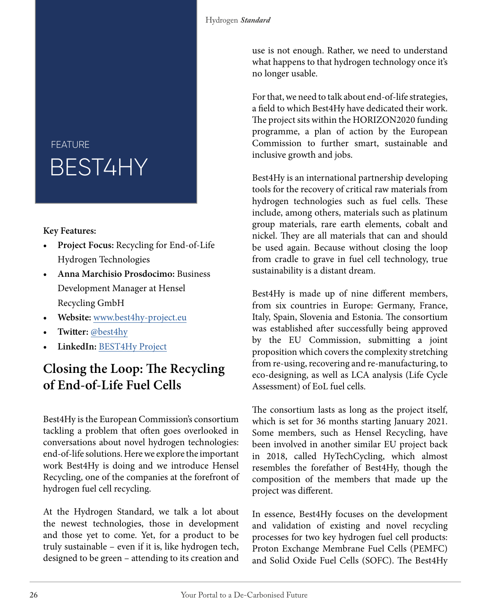## BEST4HY FEATURE

## **Key Features:**

- **Project Focus:** Recycling for End-of-Life Hydrogen Technologies
- **Anna Marchisio Prosdocimo:** Business Development Manager at Hensel Recycling GmbH
- **• Website:** [www.b](https://best4hy-project.eu/)est4hy-project.eu
- **• Twitter:** [@best4hy](https://twitter.com/best4hy)
- **LinkedIn:** [BEST4Hy Project](https://www.linkedin.com/company/best4hy-project/)

## **Closing the Loop: The Recycling of End-of-Life Fuel Cells**

Best4Hy is the European Commission's consortium tackling a problem that often goes overlooked in conversations about novel hydrogen technologies: end-of-life solutions. Here we explore the important work Best4Hy is doing and we introduce Hensel Recycling, one of the companies at the forefront of hydrogen fuel cell recycling.

At the Hydrogen Standard, we talk a lot about the newest technologies, those in development and those yet to come. Yet, for a product to be truly sustainable – even if it is, like hydrogen tech, designed to be green – attending to its creation and

use is not enough. Rather, we need to understand what happens to that hydrogen technology once it's no longer usable.

For that, we need to talk about end-of-life strategies, a field to which Best4Hy have dedicated their work. The project sits within the HORIZON2020 funding programme, a plan of action by the European Commission to further smart, sustainable and inclusive growth and jobs.

Best4Hy is an international partnership developing tools for the recovery of critical raw materials from hydrogen technologies such as fuel cells. These include, among others, materials such as platinum group materials, rare earth elements, cobalt and nickel. They are all materials that can and should be used again. Because without closing the loop from cradle to grave in fuel cell technology, true sustainability is a distant dream.

Best4Hy is made up of nine different members, from six countries in Europe: Germany, France, Italy, Spain, Slovenia and Estonia. The consortium was established after successfully being approved by the EU Commission, submitting a joint proposition which covers the complexity stretching from re-using, recovering and re-manufacturing, to eco-designing, as well as LCA analysis (Life Cycle Assessment) of EoL fuel cells.

The consortium lasts as long as the project itself, which is set for 36 months starting January 2021. Some members, such as Hensel Recycling, have been involved in another similar EU project back in 2018, called HyTechCycling, which almost resembles the forefather of Best4Hy, though the composition of the members that made up the project was different.

In essence, Best4Hy focuses on the development and validation of existing and novel recycling processes for two key hydrogen fuel cell products: Proton Exchange Membrane Fuel Cells (PEMFC) and Solid Oxide Fuel Cells (SOFC). The Best4Hy